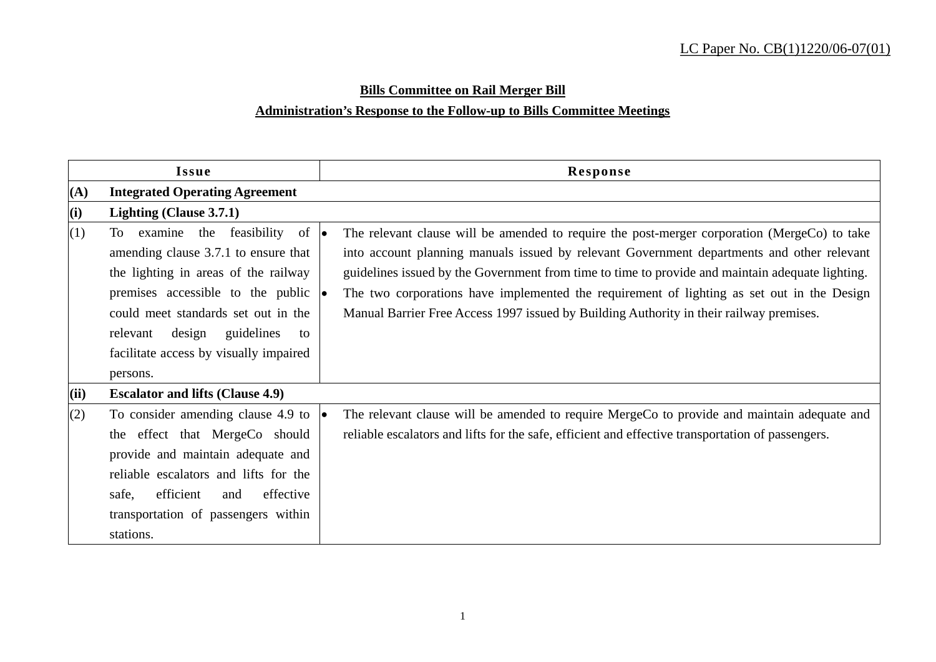# **Bills Committee on Rail Merger Bill**

# **Administration's Response to the Follow-up to Bills Committee Meetings**

| Issue |                                                                                                                                                                                                                                                                                                                 | Response                                                                                                                                                                                                                                                                                                                                                                                                                                                                                |  |  |  |
|-------|-----------------------------------------------------------------------------------------------------------------------------------------------------------------------------------------------------------------------------------------------------------------------------------------------------------------|-----------------------------------------------------------------------------------------------------------------------------------------------------------------------------------------------------------------------------------------------------------------------------------------------------------------------------------------------------------------------------------------------------------------------------------------------------------------------------------------|--|--|--|
| (A)   | <b>Integrated Operating Agreement</b>                                                                                                                                                                                                                                                                           |                                                                                                                                                                                                                                                                                                                                                                                                                                                                                         |  |  |  |
| (i)   | Lighting (Clause 3.7.1)                                                                                                                                                                                                                                                                                         |                                                                                                                                                                                                                                                                                                                                                                                                                                                                                         |  |  |  |
| (1)   | To examine the feasibility of $\bullet$<br>amending clause 3.7.1 to ensure that<br>the lighting in areas of the railway<br>premises accessible to the public $ \bullet $<br>could meet standards set out in the<br>design<br>guidelines<br>relevant<br>to<br>facilitate access by visually impaired<br>persons. | The relevant clause will be amended to require the post-merger corporation (MergeCo) to take<br>into account planning manuals issued by relevant Government departments and other relevant<br>guidelines issued by the Government from time to time to provide and maintain adequate lighting.<br>The two corporations have implemented the requirement of lighting as set out in the Design<br>Manual Barrier Free Access 1997 issued by Building Authority in their railway premises. |  |  |  |
| (ii)  | <b>Escalator and lifts (Clause 4.9)</b>                                                                                                                                                                                                                                                                         |                                                                                                                                                                                                                                                                                                                                                                                                                                                                                         |  |  |  |
| (2)   | To consider amending clause 4.9 to<br>the effect that MergeCo should<br>provide and maintain adequate and<br>reliable escalators and lifts for the<br>efficient<br>safe,<br>effective<br>and<br>transportation of passengers within<br>stations.                                                                | The relevant clause will be amended to require MergeCo to provide and maintain adequate and<br>reliable escalators and lifts for the safe, efficient and effective transportation of passengers.                                                                                                                                                                                                                                                                                        |  |  |  |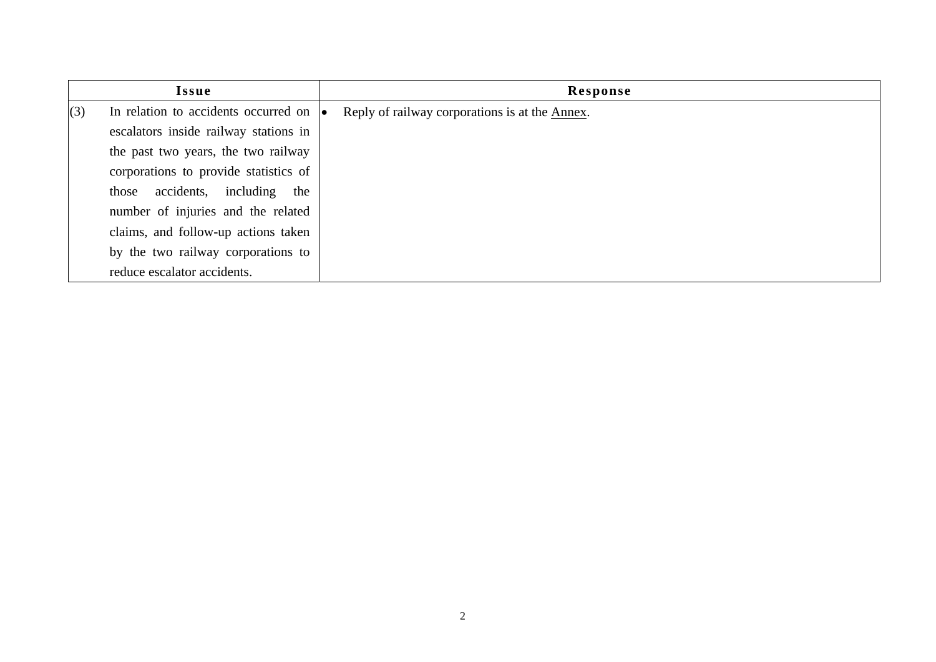| Issue |                                                | Response |                                                |  |
|-------|------------------------------------------------|----------|------------------------------------------------|--|
| (3)   | In relation to accidents occurred on $\bullet$ |          | Reply of railway corporations is at the Annex. |  |
|       | escalators inside railway stations in          |          |                                                |  |
|       | the past two years, the two railway            |          |                                                |  |
|       | corporations to provide statistics of          |          |                                                |  |
|       | those accidents, including<br>the              |          |                                                |  |
|       | number of injuries and the related             |          |                                                |  |
|       | claims, and follow-up actions taken            |          |                                                |  |
|       | by the two railway corporations to             |          |                                                |  |
|       | reduce escalator accidents.                    |          |                                                |  |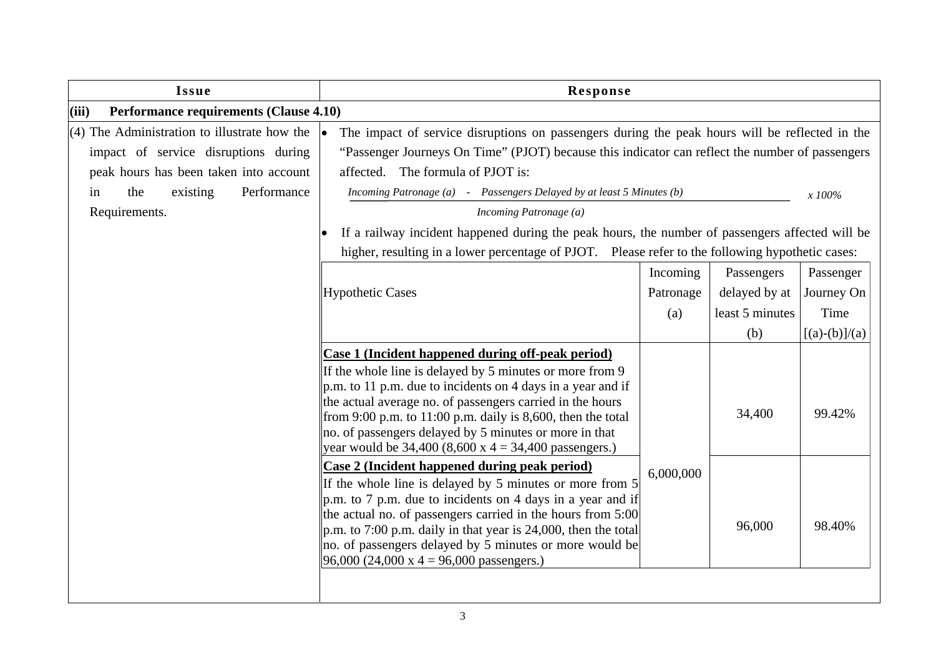| Issue                                                                                                                                                                                     | Response                                                                                                                                                                                                                                                                                                                                                                                                                           |                              |                                                       |                                                    |  |  |
|-------------------------------------------------------------------------------------------------------------------------------------------------------------------------------------------|------------------------------------------------------------------------------------------------------------------------------------------------------------------------------------------------------------------------------------------------------------------------------------------------------------------------------------------------------------------------------------------------------------------------------------|------------------------------|-------------------------------------------------------|----------------------------------------------------|--|--|
| <b>Performance requirements (Clause 4.10)</b><br>(iii)                                                                                                                                    |                                                                                                                                                                                                                                                                                                                                                                                                                                    |                              |                                                       |                                                    |  |  |
| $(4)$ The Administration to illustrate how the<br>impact of service disruptions during<br>peak hours has been taken into account<br>existing<br>Performance<br>the<br>in<br>Requirements. | The impact of service disruptions on passengers during the peak hours will be reflected in the<br>"Passenger Journeys On Time" (PJOT) because this indicator can reflect the number of passengers<br>affected. The formula of PJOT is:<br>Incoming Patronage (a) - Passengers Delayed by at least 5 Minutes (b)<br>x 100%<br>Incoming Patronage (a)                                                                                |                              |                                                       |                                                    |  |  |
|                                                                                                                                                                                           | If a railway incident happened during the peak hours, the number of passengers affected will be                                                                                                                                                                                                                                                                                                                                    |                              |                                                       |                                                    |  |  |
|                                                                                                                                                                                           | higher, resulting in a lower percentage of PJOT. Please refer to the following hypothetic cases:                                                                                                                                                                                                                                                                                                                                   |                              |                                                       |                                                    |  |  |
|                                                                                                                                                                                           | <b>Hypothetic Cases</b>                                                                                                                                                                                                                                                                                                                                                                                                            | Incoming<br>Patronage<br>(a) | Passengers<br>delayed by at<br>least 5 minutes<br>(b) | Passenger<br>Journey On<br>Time<br>$[(a)-(b)]/(a)$ |  |  |
|                                                                                                                                                                                           | Case 1 (Incident happened during off-peak period)<br>If the whole line is delayed by 5 minutes or more from 9<br>p.m. to 11 p.m. due to incidents on 4 days in a year and if<br>the actual average no. of passengers carried in the hours<br>from 9:00 p.m. to 11:00 p.m. daily is 8,600, then the total<br>no. of passengers delayed by 5 minutes or more in that<br>year would be $34,400$ (8,600 x 4 = 34,400 passengers.)      |                              | 34,400                                                | 99.42%                                             |  |  |
|                                                                                                                                                                                           | Case 2 (Incident happened during peak period)<br>If the whole line is delayed by 5 minutes or more from 5<br>p.m. to 7 p.m. due to incidents on 4 days in a year and if<br>the actual no. of passengers carried in the hours from 5:00<br>p.m. to 7:00 p.m. daily in that year is 24,000, then the total<br>no. of passengers delayed by 5 minutes or more would be<br>$96,000 (24,000 \text{ x } 4 = 96,000 \text{ passengers.})$ | 6,000,000                    | 96,000                                                | 98.40%                                             |  |  |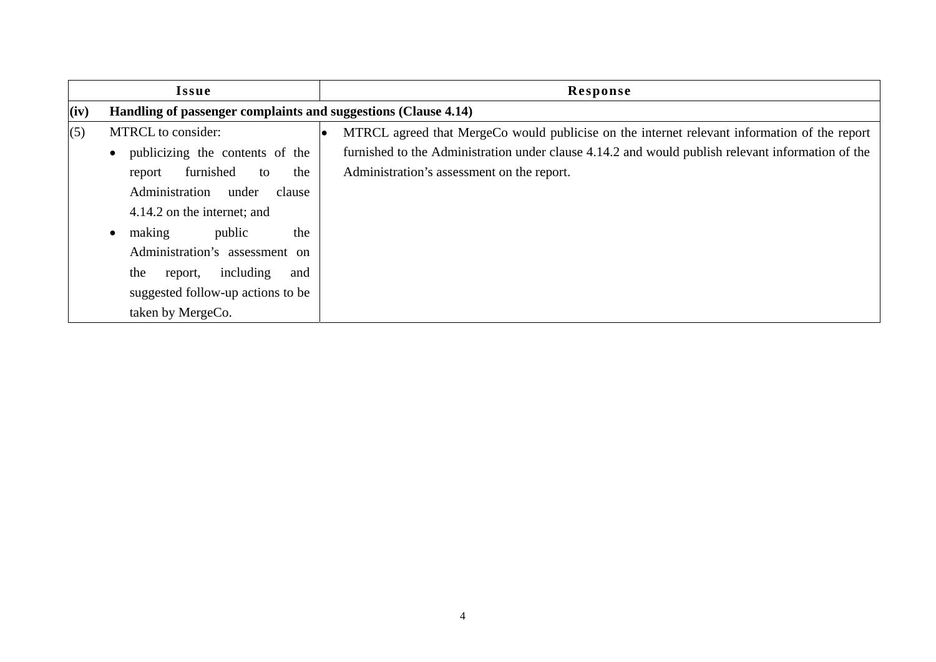| <b>Issue</b> |                                                                | Response                                                                                          |  |  |  |
|--------------|----------------------------------------------------------------|---------------------------------------------------------------------------------------------------|--|--|--|
| (iv)         | Handling of passenger complaints and suggestions (Clause 4.14) |                                                                                                   |  |  |  |
| (5)          | MTRCL to consider:                                             | MTRCL agreed that MergeCo would publicise on the internet relevant information of the report      |  |  |  |
|              | publicizing the contents of the                                | furnished to the Administration under clause 4.14.2 and would publish relevant information of the |  |  |  |
|              | furnished<br>the<br>to<br>report                               | Administration's assessment on the report.                                                        |  |  |  |
|              | Administration under<br>clause                                 |                                                                                                   |  |  |  |
|              | 4.14.2 on the internet; and                                    |                                                                                                   |  |  |  |
|              | public<br>the<br>making                                        |                                                                                                   |  |  |  |
|              | Administration's assessment on                                 |                                                                                                   |  |  |  |
|              | including<br>the<br>and<br>report,                             |                                                                                                   |  |  |  |
|              | suggested follow-up actions to be                              |                                                                                                   |  |  |  |
|              | taken by MergeCo.                                              |                                                                                                   |  |  |  |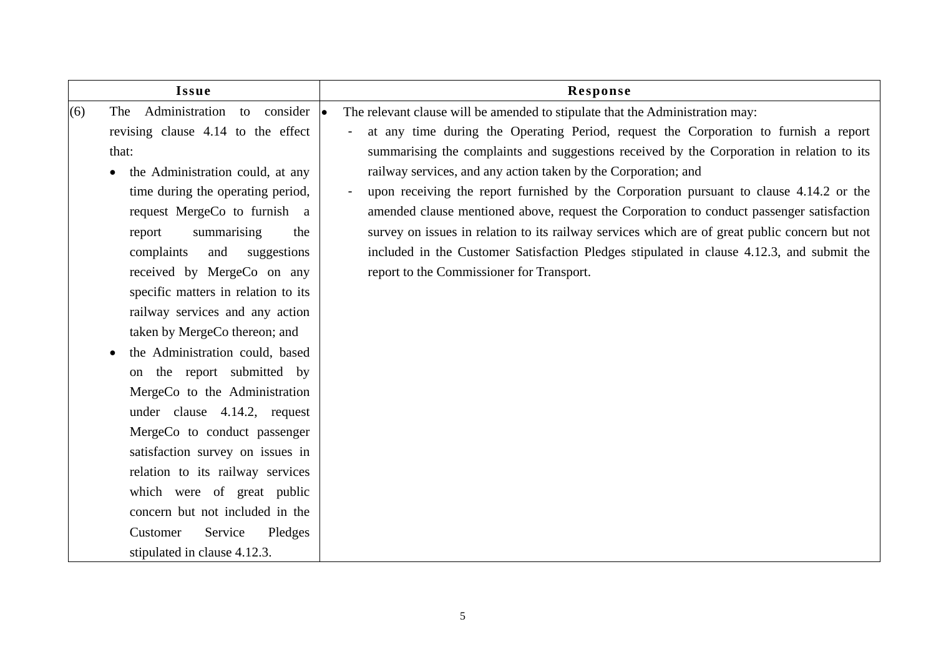| Administration to consider $ \bullet $<br>(6)<br>The<br>revising clause 4.14 to the effect<br>that:                                                                                                                                                                                                                                                                                                                                                                                                                                                                                                                                                                            |                               | The relevant clause will be amended to stipulate that the Administration may:<br>at any time during the Operating Period, request the Corporation to furnish a report<br>summarising the complaints and suggestions received by the Corporation in relation to its<br>railway services, and any action taken by the Corporation; and                                                                                             |
|--------------------------------------------------------------------------------------------------------------------------------------------------------------------------------------------------------------------------------------------------------------------------------------------------------------------------------------------------------------------------------------------------------------------------------------------------------------------------------------------------------------------------------------------------------------------------------------------------------------------------------------------------------------------------------|-------------------------------|----------------------------------------------------------------------------------------------------------------------------------------------------------------------------------------------------------------------------------------------------------------------------------------------------------------------------------------------------------------------------------------------------------------------------------|
| the Administration could, at any<br>$\bullet$<br>time during the operating period,<br>request MergeCo to furnish a<br>summarising<br>report<br>complaints<br>and<br>received by MergeCo on any<br>specific matters in relation to its<br>railway services and any action<br>taken by MergeCo thereon; and<br>the Administration could, based<br>the report submitted by<br>on<br>MergeCo to the Administration<br>under clause 4.14.2, request<br>MergeCo to conduct passenger<br>satisfaction survey on issues in<br>relation to its railway services<br>which were of great public<br>concern but not included in the<br>Customer<br>Service<br>stipulated in clause 4.12.3. | the<br>suggestions<br>Pledges | upon receiving the report furnished by the Corporation pursuant to clause 4.14.2 or the<br>amended clause mentioned above, request the Corporation to conduct passenger satisfaction<br>survey on issues in relation to its railway services which are of great public concern but not<br>included in the Customer Satisfaction Pledges stipulated in clause 4.12.3, and submit the<br>report to the Commissioner for Transport. |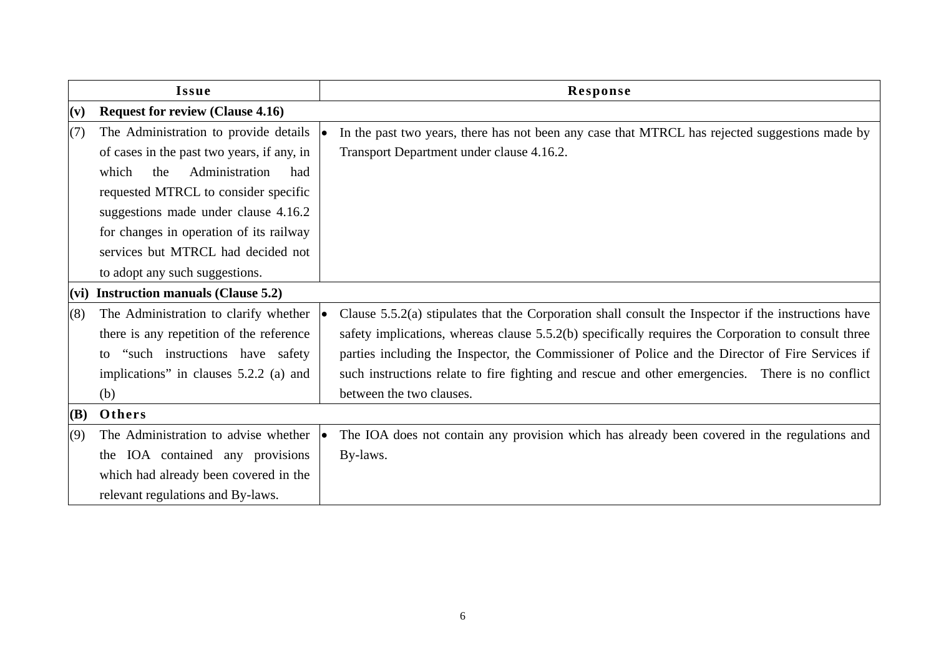| <b>Issue</b> |                                            | Response                                                                                               |  |  |  |
|--------------|--------------------------------------------|--------------------------------------------------------------------------------------------------------|--|--|--|
| (v)          | <b>Request for review (Clause 4.16)</b>    |                                                                                                        |  |  |  |
| (7)          | The Administration to provide details      | In the past two years, there has not been any case that MTRCL has rejected suggestions made by         |  |  |  |
|              | of cases in the past two years, if any, in | Transport Department under clause 4.16.2.                                                              |  |  |  |
|              | Administration<br>which<br>the<br>had      |                                                                                                        |  |  |  |
|              | requested MTRCL to consider specific       |                                                                                                        |  |  |  |
|              | suggestions made under clause 4.16.2       |                                                                                                        |  |  |  |
|              | for changes in operation of its railway    |                                                                                                        |  |  |  |
|              | services but MTRCL had decided not         |                                                                                                        |  |  |  |
|              | to adopt any such suggestions.             |                                                                                                        |  |  |  |
|              | $(vi)$ Instruction manuals (Clause 5.2)    |                                                                                                        |  |  |  |
| (8)          | The Administration to clarify whether      | Clause $5.5.2(a)$ stipulates that the Corporation shall consult the Inspector if the instructions have |  |  |  |
|              | there is any repetition of the reference   | safety implications, whereas clause 5.5.2(b) specifically requires the Corporation to consult three    |  |  |  |
|              | "such instructions have safety"<br>to      | parties including the Inspector, the Commissioner of Police and the Director of Fire Services if       |  |  |  |
|              | implications" in clauses 5.2.2 (a) and     | such instructions relate to fire fighting and rescue and other emergencies. There is no conflict       |  |  |  |
|              | (b)                                        | between the two clauses.                                                                               |  |  |  |
| <b>(B)</b>   | Others                                     |                                                                                                        |  |  |  |
| (9)          | The Administration to advise whether       | The IOA does not contain any provision which has already been covered in the regulations and           |  |  |  |
|              | the IOA contained any provisions           | By-laws.                                                                                               |  |  |  |
|              | which had already been covered in the      |                                                                                                        |  |  |  |
|              | relevant regulations and By-laws.          |                                                                                                        |  |  |  |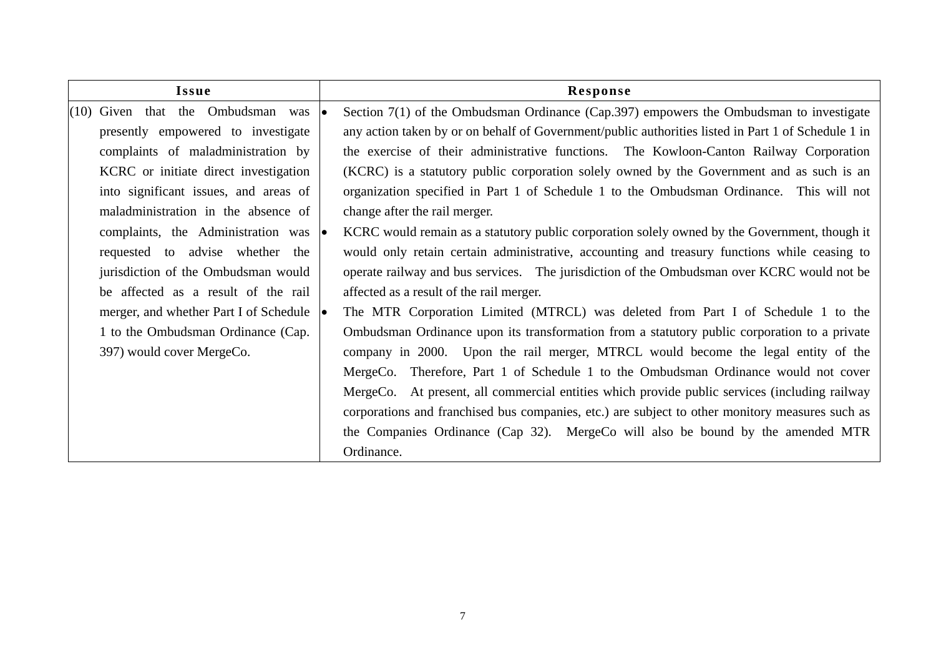| Issue |                                                                                            |  |           | Response                                                                                            |  |  |
|-------|--------------------------------------------------------------------------------------------|--|-----------|-----------------------------------------------------------------------------------------------------|--|--|
|       | $(10)$ Given that the Ombudsman was                                                        |  | <b>Io</b> | Section 7(1) of the Ombudsman Ordinance (Cap.397) empowers the Ombudsman to investigate             |  |  |
|       | presently empowered to investigate                                                         |  |           | any action taken by or on behalf of Government/public authorities listed in Part 1 of Schedule 1 in |  |  |
|       | complaints of maladministration by                                                         |  |           | the exercise of their administrative functions. The Kowloon-Canton Railway Corporation              |  |  |
|       | KCRC or initiate direct investigation                                                      |  |           | (KCRC) is a statutory public corporation solely owned by the Government and as such is an           |  |  |
|       | into significant issues, and areas of                                                      |  |           | organization specified in Part 1 of Schedule 1 to the Ombudsman Ordinance. This will not            |  |  |
|       | maladministration in the absence of                                                        |  |           | change after the rail merger.                                                                       |  |  |
|       | complaints, the Administration was $ \bullet $                                             |  |           | KCRC would remain as a statutory public corporation solely owned by the Government, though it       |  |  |
|       | requested to advise whether the                                                            |  |           | would only retain certain administrative, accounting and treasury functions while ceasing to        |  |  |
|       | jurisdiction of the Ombudsman would                                                        |  |           | operate railway and bus services. The jurisdiction of the Ombudsman over KCRC would not be          |  |  |
|       | be affected as a result of the rail                                                        |  |           | affected as a result of the rail merger.                                                            |  |  |
|       | merger, and whether Part I of Schedule $  \bullet  $<br>1 to the Ombudsman Ordinance (Cap. |  |           | The MTR Corporation Limited (MTRCL) was deleted from Part I of Schedule 1 to the                    |  |  |
|       |                                                                                            |  |           | Ombudsman Ordinance upon its transformation from a statutory public corporation to a private        |  |  |
|       | 397) would cover MergeCo.                                                                  |  |           | company in 2000. Upon the rail merger, MTRCL would become the legal entity of the                   |  |  |
|       |                                                                                            |  |           | Therefore, Part 1 of Schedule 1 to the Ombudsman Ordinance would not cover<br>MergeCo.              |  |  |
|       |                                                                                            |  |           | MergeCo. At present, all commercial entities which provide public services (including railway       |  |  |
|       |                                                                                            |  |           | corporations and franchised bus companies, etc.) are subject to other monitory measures such as     |  |  |
|       |                                                                                            |  |           | the Companies Ordinance (Cap 32). MergeCo will also be bound by the amended MTR                     |  |  |
|       |                                                                                            |  |           | Ordinance.                                                                                          |  |  |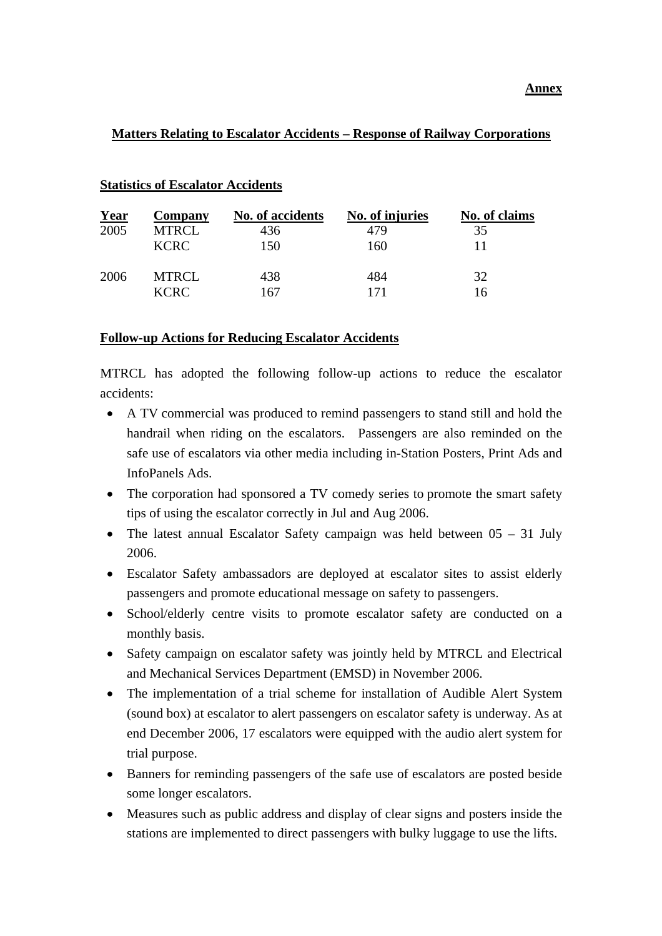# **Matters Relating to Escalator Accidents – Response of Railway Corporations**

| <b>Year</b> | <b>Company</b> | No. of accidents | No. of injuries | No. of claims |
|-------------|----------------|------------------|-----------------|---------------|
| 2005        | <b>MTRCL</b>   | 436              | 479             | 35            |
|             | <b>KCRC</b>    | 150              | 160             |               |
| 2006        | <b>MTRCL</b>   | 438              | 484             | 32            |
|             | <b>KCRC</b>    | 167              | 171             | 16            |

### **Statistics of Escalator Accidents**

#### **Follow-up Actions for Reducing Escalator Accidents**

MTRCL has adopted the following follow-up actions to reduce the escalator accidents:

- A TV commercial was produced to remind passengers to stand still and hold the handrail when riding on the escalators. Passengers are also reminded on the safe use of escalators via other media including in-Station Posters, Print Ads and InfoPanels Ads.
- The corporation had sponsored a TV comedy series to promote the smart safety tips of using the escalator correctly in Jul and Aug 2006.
- The latest annual Escalator Safety campaign was held between  $05 31$  July 2006.
- Escalator Safety ambassadors are deployed at escalator sites to assist elderly passengers and promote educational message on safety to passengers.
- School/elderly centre visits to promote escalator safety are conducted on a monthly basis.
- Safety campaign on escalator safety was jointly held by MTRCL and Electrical and Mechanical Services Department (EMSD) in November 2006.
- The implementation of a trial scheme for installation of Audible Alert System (sound box) at escalator to alert passengers on escalator safety is underway. As at end December 2006, 17 escalators were equipped with the audio alert system for trial purpose.
- Banners for reminding passengers of the safe use of escalators are posted beside some longer escalators.
- Measures such as public address and display of clear signs and posters inside the stations are implemented to direct passengers with bulky luggage to use the lifts.